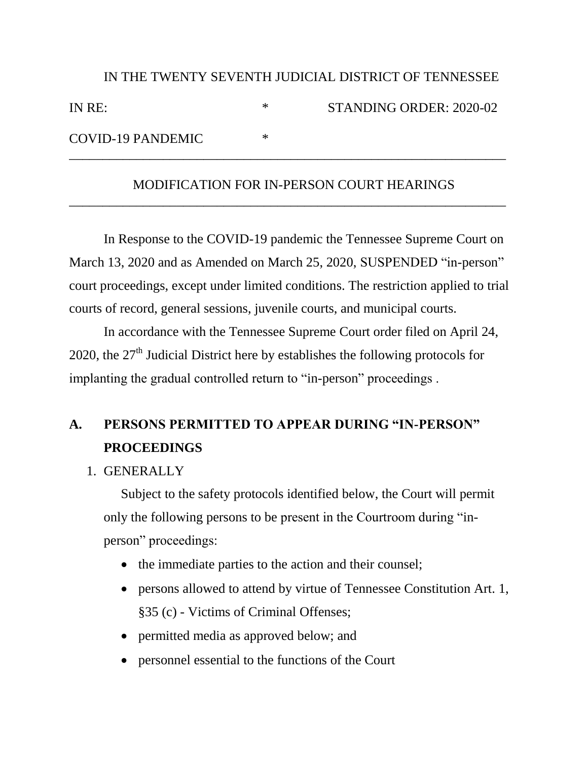| IN THE TWENTY SEVENTH JUDICIAL DISTRICT OF TENNESSEE |   |                         |
|------------------------------------------------------|---|-------------------------|
| IN RE:                                               | ∗ | STANDING ORDER: 2020-02 |
| COVID-19 PANDEMIC                                    | ∗ |                         |

## MODIFICATION FOR IN-PERSON COURT HEARINGS

\_\_\_\_\_\_\_\_\_\_\_\_\_\_\_\_\_\_\_\_\_\_\_\_\_\_\_\_\_\_\_\_\_\_\_\_\_\_\_\_\_\_\_\_\_\_\_\_\_\_\_\_\_\_\_\_\_\_\_\_\_\_\_\_\_

In Response to the COVID-19 pandemic the Tennessee Supreme Court on March 13, 2020 and as Amended on March 25, 2020, SUSPENDED "in-person" court proceedings, except under limited conditions. The restriction applied to trial courts of record, general sessions, juvenile courts, and municipal courts.

In accordance with the Tennessee Supreme Court order filed on April 24, 2020, the  $27<sup>th</sup>$  Judicial District here by establishes the following protocols for implanting the gradual controlled return to "in-person" proceedings .

# **A. PERSONS PERMITTED TO APPEAR DURING "IN-PERSON" PROCEEDINGS**

1. GENERALLY

Subject to the safety protocols identified below, the Court will permit only the following persons to be present in the Courtroom during "inperson" proceedings:

- the immediate parties to the action and their counsel;
- persons allowed to attend by virtue of Tennessee Constitution Art. 1, §35 (c) - Victims of Criminal Offenses;
- permitted media as approved below; and
- personnel essential to the functions of the Court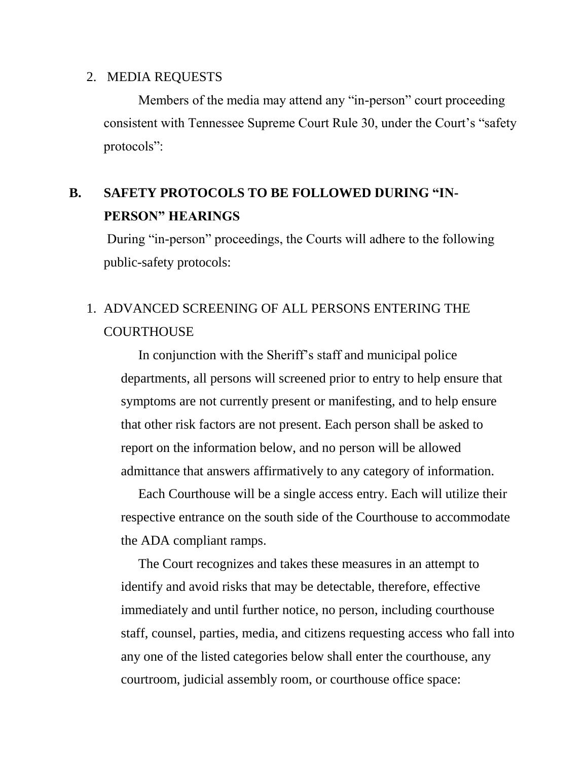#### 2. MEDIA REQUESTS

Members of the media may attend any "in-person" court proceeding consistent with Tennessee Supreme Court Rule 30, under the Court's "safety protocols":

# **B. SAFETY PROTOCOLS TO BE FOLLOWED DURING "IN-PERSON" HEARINGS**

During "in-person" proceedings, the Courts will adhere to the following public-safety protocols:

## 1. ADVANCED SCREENING OF ALL PERSONS ENTERING THE **COURTHOUSE**

In conjunction with the Sheriff's staff and municipal police departments, all persons will screened prior to entry to help ensure that symptoms are not currently present or manifesting, and to help ensure that other risk factors are not present. Each person shall be asked to report on the information below, and no person will be allowed admittance that answers affirmatively to any category of information.

Each Courthouse will be a single access entry. Each will utilize their respective entrance on the south side of the Courthouse to accommodate the ADA compliant ramps.

The Court recognizes and takes these measures in an attempt to identify and avoid risks that may be detectable, therefore, effective immediately and until further notice, no person, including courthouse staff, counsel, parties, media, and citizens requesting access who fall into any one of the listed categories below shall enter the courthouse, any courtroom, judicial assembly room, or courthouse office space: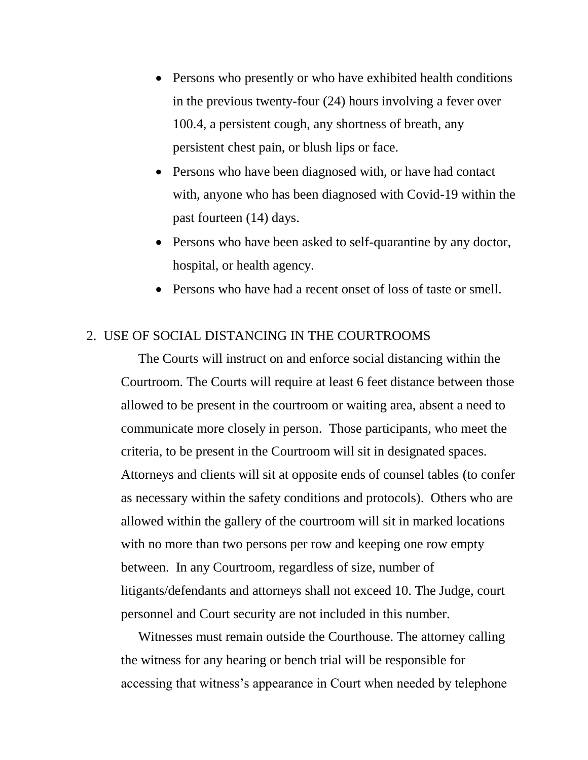- Persons who presently or who have exhibited health conditions in the previous twenty-four (24) hours involving a fever over 100.4, a persistent cough, any shortness of breath, any persistent chest pain, or blush lips or face.
- Persons who have been diagnosed with, or have had contact with, anyone who has been diagnosed with Covid-19 within the past fourteen (14) days.
- Persons who have been asked to self-quarantine by any doctor, hospital, or health agency.
- Persons who have had a recent onset of loss of taste or smell.

#### 2. USE OF SOCIAL DISTANCING IN THE COURTROOMS

The Courts will instruct on and enforce social distancing within the Courtroom. The Courts will require at least 6 feet distance between those allowed to be present in the courtroom or waiting area, absent a need to communicate more closely in person. Those participants, who meet the criteria, to be present in the Courtroom will sit in designated spaces. Attorneys and clients will sit at opposite ends of counsel tables (to confer as necessary within the safety conditions and protocols). Others who are allowed within the gallery of the courtroom will sit in marked locations with no more than two persons per row and keeping one row empty between. In any Courtroom, regardless of size, number of litigants/defendants and attorneys shall not exceed 10. The Judge, court personnel and Court security are not included in this number.

Witnesses must remain outside the Courthouse. The attorney calling the witness for any hearing or bench trial will be responsible for accessing that witness's appearance in Court when needed by telephone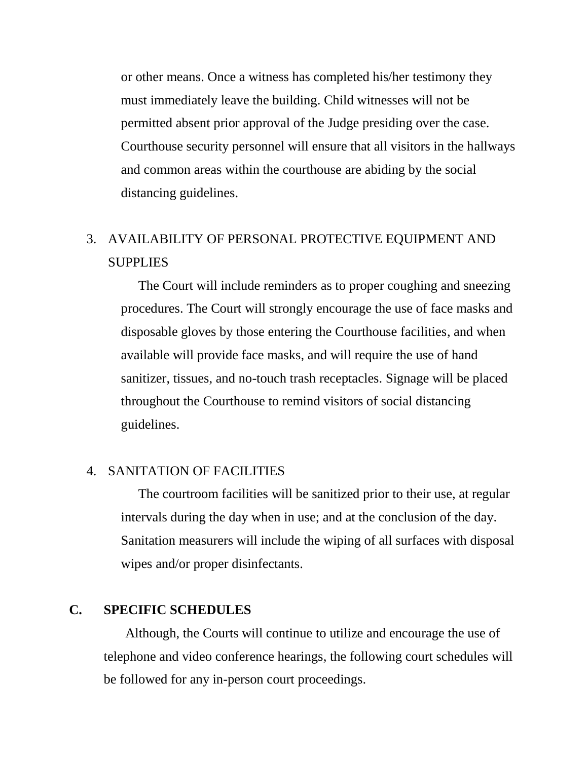or other means. Once a witness has completed his/her testimony they must immediately leave the building. Child witnesses will not be permitted absent prior approval of the Judge presiding over the case. Courthouse security personnel will ensure that all visitors in the hallways and common areas within the courthouse are abiding by the social distancing guidelines.

## 3. AVAILABILITY OF PERSONAL PROTECTIVE EQUIPMENT AND SUPPLIES

The Court will include reminders as to proper coughing and sneezing procedures. The Court will strongly encourage the use of face masks and disposable gloves by those entering the Courthouse facilities, and when available will provide face masks, and will require the use of hand sanitizer, tissues, and no-touch trash receptacles. Signage will be placed throughout the Courthouse to remind visitors of social distancing guidelines.

## 4. SANITATION OF FACILITIES

The courtroom facilities will be sanitized prior to their use, at regular intervals during the day when in use; and at the conclusion of the day. Sanitation measurers will include the wiping of all surfaces with disposal wipes and/or proper disinfectants.

### **C. SPECIFIC SCHEDULES**

Although, the Courts will continue to utilize and encourage the use of telephone and video conference hearings, the following court schedules will be followed for any in-person court proceedings.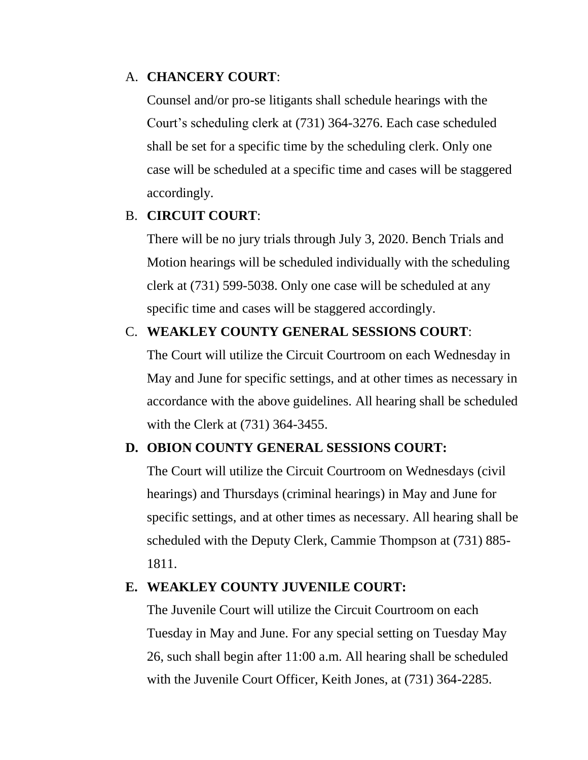## A. **CHANCERY COURT**:

Counsel and/or pro-se litigants shall schedule hearings with the Court's scheduling clerk at (731) 364-3276. Each case scheduled shall be set for a specific time by the scheduling clerk. Only one case will be scheduled at a specific time and cases will be staggered accordingly.

## B. **CIRCUIT COURT**:

There will be no jury trials through July 3, 2020. Bench Trials and Motion hearings will be scheduled individually with the scheduling clerk at (731) 599-5038. Only one case will be scheduled at any specific time and cases will be staggered accordingly.

## C. **WEAKLEY COUNTY GENERAL SESSIONS COURT**:

The Court will utilize the Circuit Courtroom on each Wednesday in May and June for specific settings, and at other times as necessary in accordance with the above guidelines. All hearing shall be scheduled with the Clerk at (731) 364-3455.

### **D. OBION COUNTY GENERAL SESSIONS COURT:**

The Court will utilize the Circuit Courtroom on Wednesdays (civil hearings) and Thursdays (criminal hearings) in May and June for specific settings, and at other times as necessary. All hearing shall be scheduled with the Deputy Clerk, Cammie Thompson at (731) 885- 1811.

## **E. WEAKLEY COUNTY JUVENILE COURT:**

The Juvenile Court will utilize the Circuit Courtroom on each Tuesday in May and June. For any special setting on Tuesday May 26, such shall begin after 11:00 a.m. All hearing shall be scheduled with the Juvenile Court Officer, Keith Jones, at (731) 364-2285.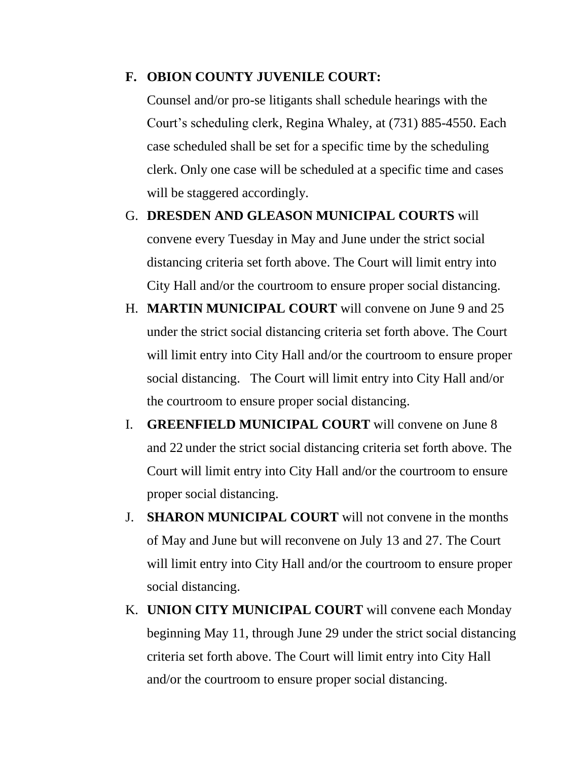### **F. OBION COUNTY JUVENILE COURT:**

Counsel and/or pro-se litigants shall schedule hearings with the Court's scheduling clerk, Regina Whaley, at (731) 885-4550. Each case scheduled shall be set for a specific time by the scheduling clerk. Only one case will be scheduled at a specific time and cases will be staggered accordingly.

- G. **DRESDEN AND GLEASON MUNICIPAL COURTS** will convene every Tuesday in May and June under the strict social distancing criteria set forth above. The Court will limit entry into City Hall and/or the courtroom to ensure proper social distancing.
- H. **MARTIN MUNICIPAL COURT** will convene on June 9 and 25 under the strict social distancing criteria set forth above. The Court will limit entry into City Hall and/or the courtroom to ensure proper social distancing. The Court will limit entry into City Hall and/or the courtroom to ensure proper social distancing.
- I. **GREENFIELD MUNICIPAL COURT** will convene on June 8 and 22 under the strict social distancing criteria set forth above. The Court will limit entry into City Hall and/or the courtroom to ensure proper social distancing.
- J. **SHARON MUNICIPAL COURT** will not convene in the months of May and June but will reconvene on July 13 and 27. The Court will limit entry into City Hall and/or the courtroom to ensure proper social distancing.
- K. **UNION CITY MUNICIPAL COURT** will convene each Monday beginning May 11, through June 29 under the strict social distancing criteria set forth above. The Court will limit entry into City Hall and/or the courtroom to ensure proper social distancing.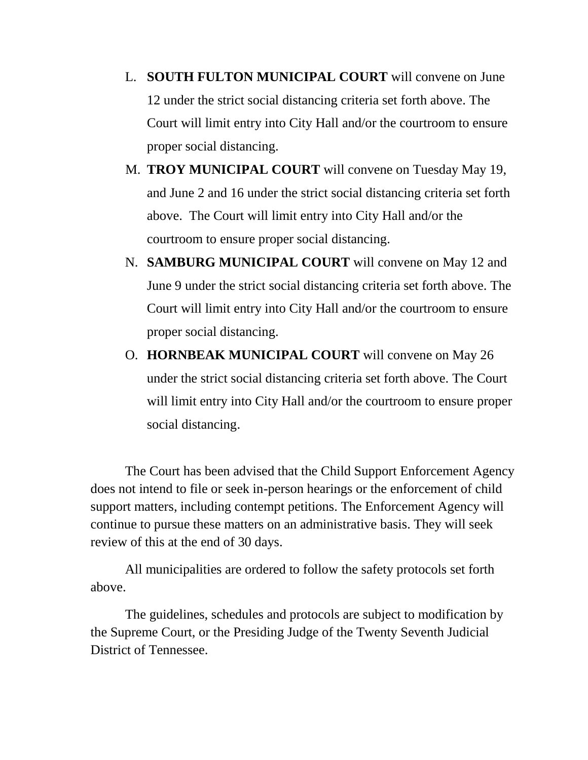- L. **SOUTH FULTON MUNICIPAL COURT** will convene on June 12 under the strict social distancing criteria set forth above. The Court will limit entry into City Hall and/or the courtroom to ensure proper social distancing.
- M. **TROY MUNICIPAL COURT** will convene on Tuesday May 19, and June 2 and 16 under the strict social distancing criteria set forth above. The Court will limit entry into City Hall and/or the courtroom to ensure proper social distancing.
- N. **SAMBURG MUNICIPAL COURT** will convene on May 12 and June 9 under the strict social distancing criteria set forth above. The Court will limit entry into City Hall and/or the courtroom to ensure proper social distancing.
- O. **HORNBEAK MUNICIPAL COURT** will convene on May 26 under the strict social distancing criteria set forth above. The Court will limit entry into City Hall and/or the courtroom to ensure proper social distancing.

The Court has been advised that the Child Support Enforcement Agency does not intend to file or seek in-person hearings or the enforcement of child support matters, including contempt petitions. The Enforcement Agency will continue to pursue these matters on an administrative basis. They will seek review of this at the end of 30 days.

All municipalities are ordered to follow the safety protocols set forth above.

The guidelines, schedules and protocols are subject to modification by the Supreme Court, or the Presiding Judge of the Twenty Seventh Judicial District of Tennessee.